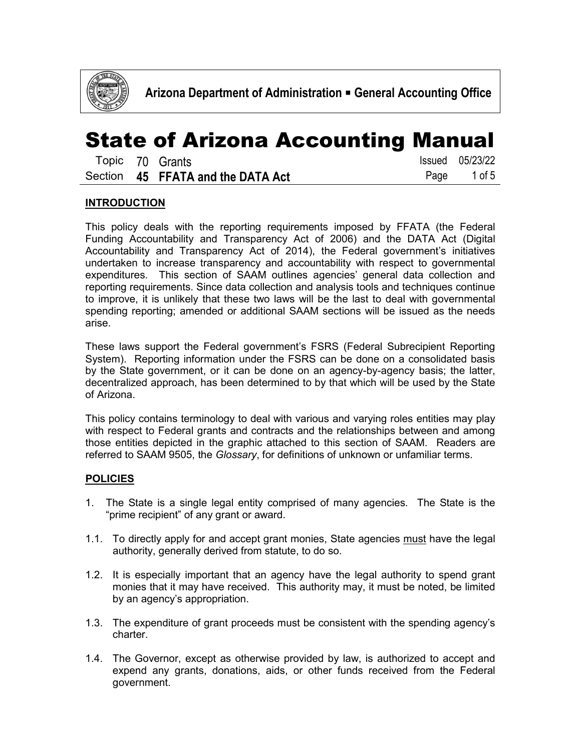

|  | Topic 70 Grants                   | Issued 05/23/22 |
|--|-----------------------------------|-----------------|
|  | Section 45 FFATA and the DATA Act | Page 1 of 5     |

#### **INTRODUCTION**

This policy deals with the reporting requirements imposed by FFATA (the Federal Funding Accountability and Transparency Act of 2006) and the DATA Act (Digital Accountability and Transparency Act of 2014), the Federal government's initiatives undertaken to increase transparency and accountability with respect to governmental expenditures. This section of SAAM outlines agencies' general data collection and reporting requirements. Since data collection and analysis tools and techniques continue to improve, it is unlikely that these two laws will be the last to deal with governmental spending reporting; amended or additional SAAM sections will be issued as the needs arise.

These laws support the Federal government's FSRS (Federal Subrecipient Reporting System). Reporting information under the FSRS can be done on a consolidated basis by the State government, or it can be done on an agency-by-agency basis; the latter, decentralized approach, has been determined to by that which will be used by the State of Arizona.

This policy contains terminology to deal with various and varying roles entities may play with respect to Federal grants and contracts and the relationships between and among those entities depicted in the graphic attached to this section of SAAM. Readers are referred to SAAM 9505, the *Glossary*, for definitions of unknown or unfamiliar terms.

#### **POLICIES**

- 1. The State is a single legal entity comprised of many agencies. The State is the "prime recipient" of any grant or award.
- 1.1. To directly apply for and accept grant monies, State agencies must have the legal authority, generally derived from statute, to do so.
- 1.2. It is especially important that an agency have the legal authority to spend grant monies that it may have received. This authority may, it must be noted, be limited by an agency's appropriation.
- 1.3. The expenditure of grant proceeds must be consistent with the spending agency's charter.
- 1.4. The Governor, except as otherwise provided by law, is authorized to accept and expend any grants, donations, aids, or other funds received from the Federal government.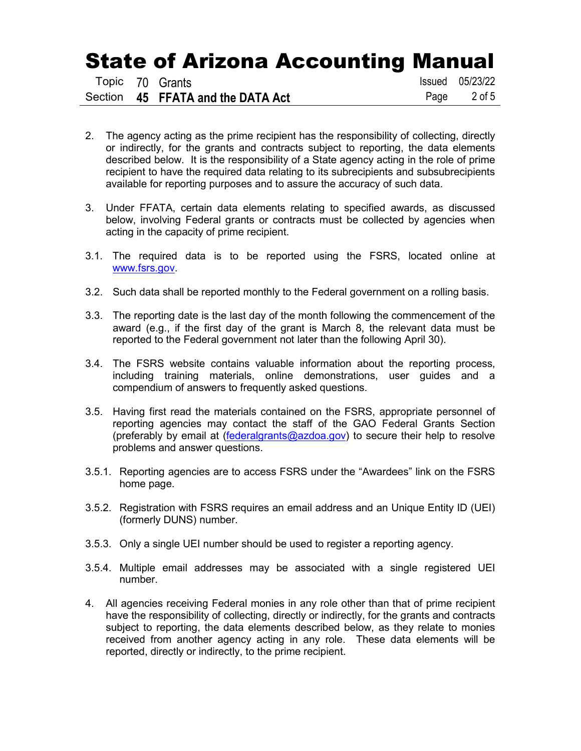|  | Topic 70 Grants                   | <b>Issued</b> 05/23/22 |
|--|-----------------------------------|------------------------|
|  | Section 45 FFATA and the DATA Act | Page 2 of 5            |

- 2. The agency acting as the prime recipient has the responsibility of collecting, directly or indirectly, for the grants and contracts subject to reporting, the data elements described below. It is the responsibility of a State agency acting in the role of prime recipient to have the required data relating to its subrecipients and subsubrecipients available for reporting purposes and to assure the accuracy of such data.
- 3. Under FFATA, certain data elements relating to specified awards, as discussed below, involving Federal grants or contracts must be collected by agencies when acting in the capacity of prime recipient.
- 3.1. The required data is to be reported using the FSRS, located online at [www.fsrs.gov.](http://www.fsrs.gov/)
- 3.2. Such data shall be reported monthly to the Federal government on a rolling basis.
- 3.3. The reporting date is the last day of the month following the commencement of the award (e.g., if the first day of the grant is March 8, the relevant data must be reported to the Federal government not later than the following April 30).
- 3.4. The FSRS website contains valuable information about the reporting process, including training materials, online demonstrations, user guides and a compendium of answers to frequently asked questions.
- 3.5. Having first read the materials contained on the FSRS, appropriate personnel of reporting agencies may contact the staff of the GAO Federal Grants Section (preferably by email at [\(federalgrants@azdoa.gov\)](mailto:federalgrants@azdoa.gov) to secure their help to resolve problems and answer questions.
- 3.5.1. Reporting agencies are to access FSRS under the "Awardees" link on the FSRS home page.
- 3.5.2. Registration with FSRS requires an email address and an Unique Entity ID (UEI) (formerly DUNS) number.
- 3.5.3. Only a single UEI number should be used to register a reporting agency.
- 3.5.4. Multiple email addresses may be associated with a single registered UEI number.
- 4. All agencies receiving Federal monies in any role other than that of prime recipient have the responsibility of collecting, directly or indirectly, for the grants and contracts subject to reporting, the data elements described below, as they relate to monies received from another agency acting in any role. These data elements will be reported, directly or indirectly, to the prime recipient.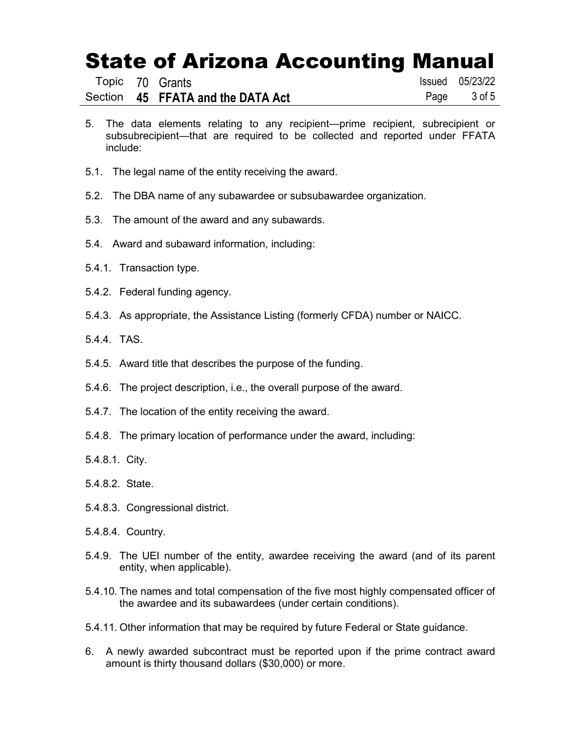|  | Topic 70 Grants                   | Issued 05/23/22 |
|--|-----------------------------------|-----------------|
|  | Section 45 FFATA and the DATA Act | Page 3 of 5     |

- 5. The data elements relating to any recipient—prime recipient, subrecipient or subsubrecipient—that are required to be collected and reported under FFATA include:
- 5.1. The legal name of the entity receiving the award.
- 5.2. The DBA name of any subawardee or subsubawardee organization.
- 5.3. The amount of the award and any subawards.
- 5.4. Award and subaward information, including:
- 5.4.1. Transaction type.
- 5.4.2. Federal funding agency.
- 5.4.3. As appropriate, the Assistance Listing (formerly CFDA) number or NAICC.
- 5.4.4. TAS.
- 5.4.5. Award title that describes the purpose of the funding.
- 5.4.6. The project description, i.e., the overall purpose of the award.
- 5.4.7. The location of the entity receiving the award.
- 5.4.8. The primary location of performance under the award, including:
- 5.4.8.1. City.
- 5.4.8.2. State.
- 5.4.8.3. Congressional district.
- 5.4.8.4. Country.
- 5.4.9. The UEI number of the entity, awardee receiving the award (and of its parent entity, when applicable).
- 5.4.10. The names and total compensation of the five most highly compensated officer of the awardee and its subawardees (under certain conditions).
- 5.4.11. Other information that may be required by future Federal or State guidance.
- 6. A newly awarded subcontract must be reported upon if the prime contract award amount is thirty thousand dollars (\$30,000) or more.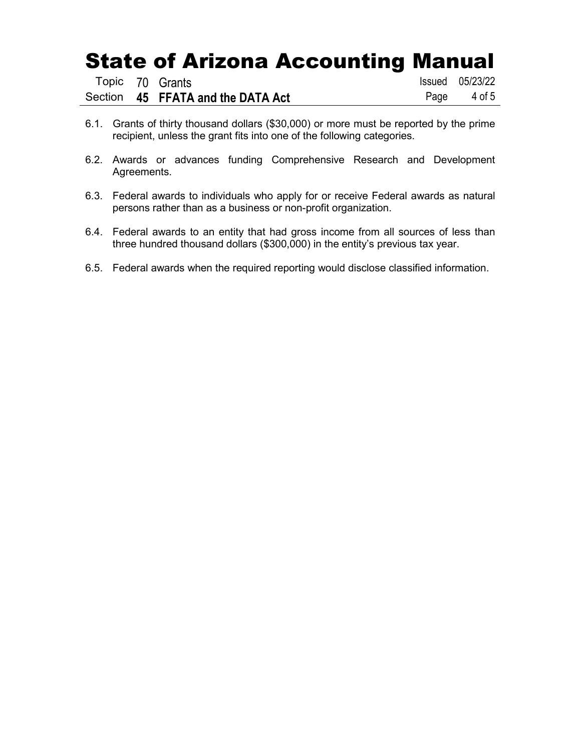|  | Topic 70 Grants                   | Issued 05/23/22 |
|--|-----------------------------------|-----------------|
|  | Section 45 FFATA and the DATA Act | Page 4 of 5     |

- 6.1. Grants of thirty thousand dollars (\$30,000) or more must be reported by the prime recipient, unless the grant fits into one of the following categories.
- 6.2. Awards or advances funding Comprehensive Research and Development Agreements.
- 6.3. Federal awards to individuals who apply for or receive Federal awards as natural persons rather than as a business or non-profit organization.
- 6.4. Federal awards to an entity that had gross income from all sources of less than three hundred thousand dollars (\$300,000) in the entity's previous tax year.
- 6.5. Federal awards when the required reporting would disclose classified information.